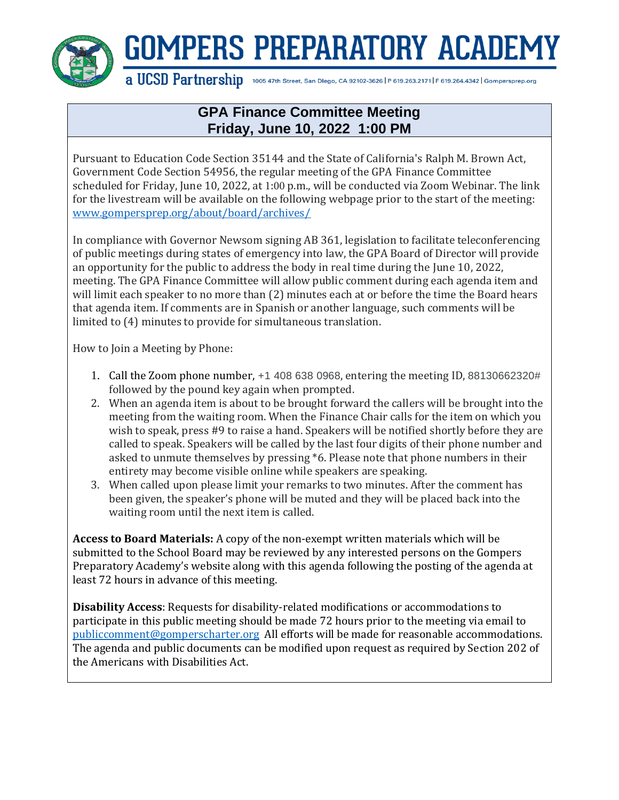

## **GOMPERS PREPARATORY ACADEMY**

a UCSD Partnership 1005 47th Street, San Dlego, CA 92102-3626 | P 619.263.2171 | F 619.264.4342 | Gompersprep.org

## **GPA Finance Committee Meeting Friday, June 10, 2022 1:00 PM**

Pursuant to Education Code Section 35144 and the State of California's Ralph M. Brown Act, Government Code Section 54956, the regular meeting of the GPA Finance Committee scheduled for Friday, June 10, 2022, at 1:00 p.m., will be conducted via Zoom Webinar. The link for the livestream will be available on the following webpage prior to the start of the meeting: [www.gompersprep.org/about/board/archives/](http://www.gompersprep.org/about/board/archives/)

In compliance with Governor Newsom signing AB 361, legislation to facilitate teleconferencing of public meetings during states of emergency into law, the GPA Board of Director will provide an opportunity for the public to address the body in real time during the June 10, 2022, meeting. The GPA Finance Committee will allow public comment during each agenda item and will limit each speaker to no more than (2) minutes each at or before the time the Board hears that agenda item. If comments are in Spanish or another language, such comments will be limited to (4) minutes to provide for simultaneous translation.

How to Join a Meeting by Phone:

- 1. Call the Zoom phone number, +1 408 638 0968, entering the meeting ID, 88130662320# followed by the pound key again when prompted.
- 2. When an agenda item is about to be brought forward the callers will be brought into the meeting from the waiting room. When the Finance Chair calls for the item on which you wish to speak, press #9 to raise a hand. Speakers will be notified shortly before they are called to speak. Speakers will be called by the last four digits of their phone number and asked to unmute themselves by pressing \*6. Please note that phone numbers in their entirety may become visible online while speakers are speaking.
- 3. When called upon please limit your remarks to two minutes. After the comment has been given, the speaker's phone will be muted and they will be placed back into the waiting room until the next item is called.

**Access to Board Materials:** A copy of the non-exempt written materials which will be submitted to the School Board may be reviewed by any interested persons on the Gompers Preparatory Academy's website along with this agenda following the posting of the agenda at least 72 hours in advance of this meeting.

**Disability Access**: Requests for disability-related modifications or accommodations to participate in this public meeting should be made 72 hours prior to the meeting via email to [publiccomment@gomperscharter.org](mailto:publiccomment@gomperscharter.org) All efforts will be made for reasonable accommodations. The agenda and public documents can be modified upon request as required by Section 202 of the Americans with Disabilities Act.